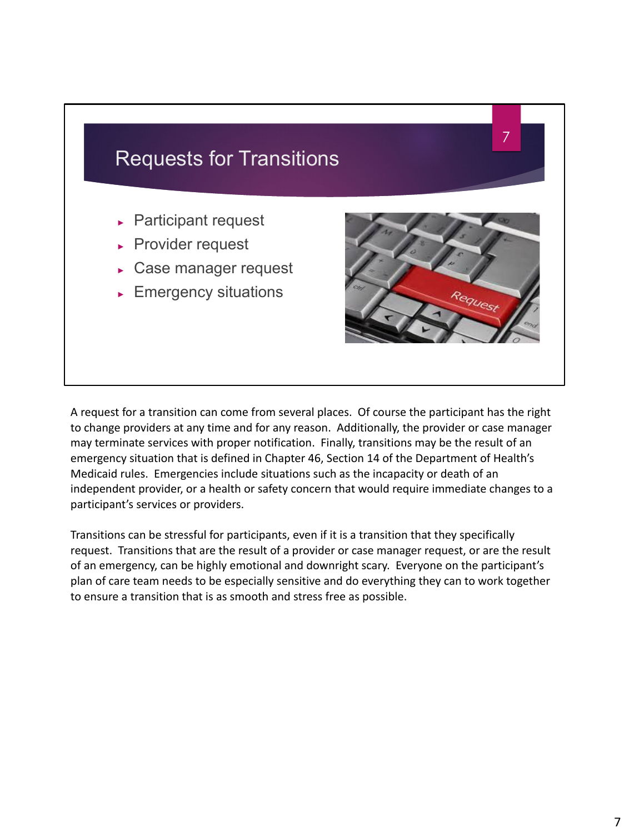

A request for a transition can come from several places. Of course the participant has the right to change providers at any time and for any reason. Additionally, the provider or case manager may terminate services with proper notification. Finally, transitions may be the result of an emergency situation that is defined in Chapter 46, Section 14 of the Department of Health's Medicaid rules. Emergencies include situations such as the incapacity or death of an independent provider, or a health or safety concern that would require immediate changes to a participant's services or providers.

Transitions can be stressful for participants, even if it is a transition that they specifically request. Transitions that are the result of a provider or case manager request, or are the result of an emergency, can be highly emotional and downright scary. Everyone on the participant's plan of care team needs to be especially sensitive and do everything they can to work together to ensure a transition that is as smooth and stress free as possible.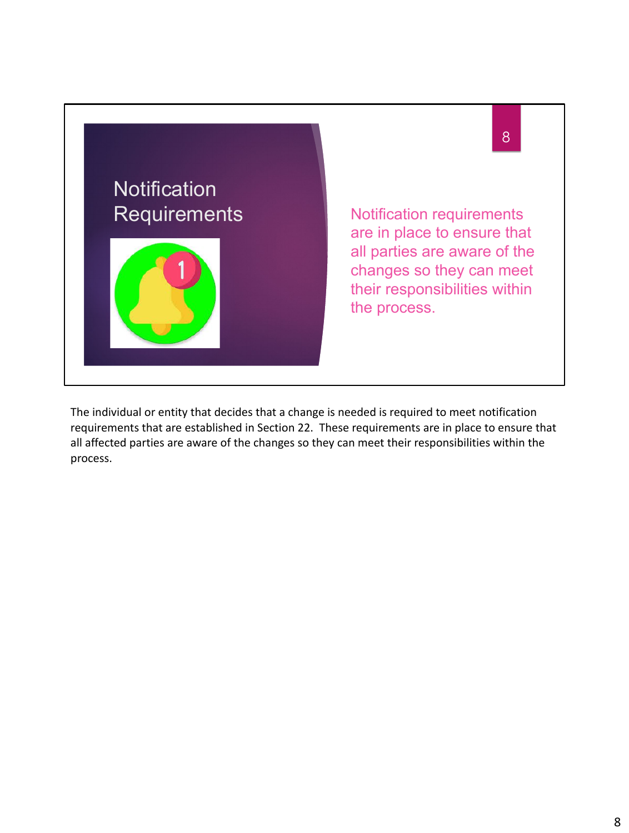

The individual or entity that decides that a change is needed is required to meet notification requirements that are established in Section 22. These requirements are in place to ensure that all affected parties are aware of the changes so they can meet their responsibilities within the process.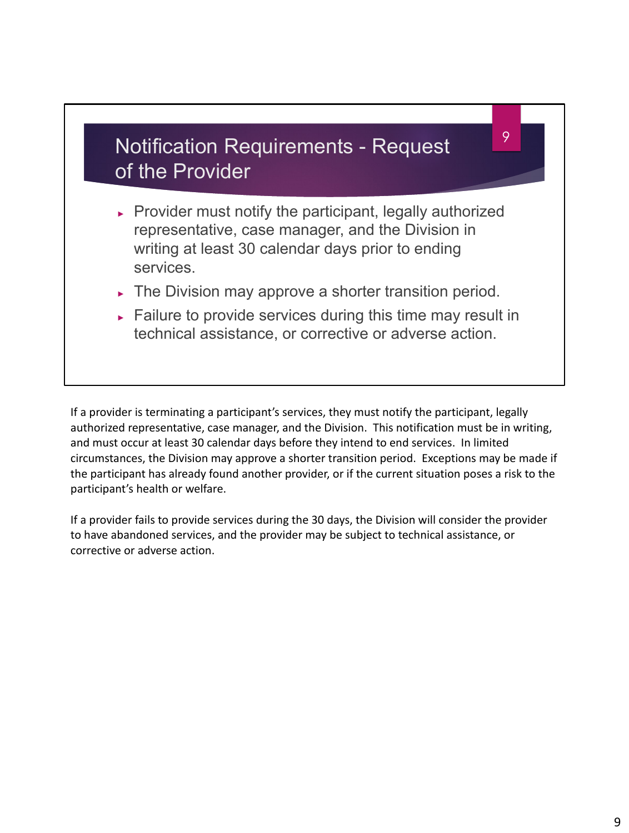## Notification Requirements - Request of the Provider

► Provider must notify the participant, legally authorized representative, case manager, and the Division in writing at least 30 calendar days prior to ending services.

9

- ► The Division may approve a shorter transition period.
- ► Failure to provide services during this time may result in technical assistance, or corrective or adverse action.

If a provider is terminating a participant's services, they must notify the participant, legally authorized representative, case manager, and the Division. This notification must be in writing, and must occur at least 30 calendar days before they intend to end services. In limited circumstances, the Division may approve a shorter transition period. Exceptions may be made if the participant has already found another provider, or if the current situation poses a risk to the participant's health or welfare.

If a provider fails to provide services during the 30 days, the Division will consider the provider to have abandoned services, and the provider may be subject to technical assistance, or corrective or adverse action.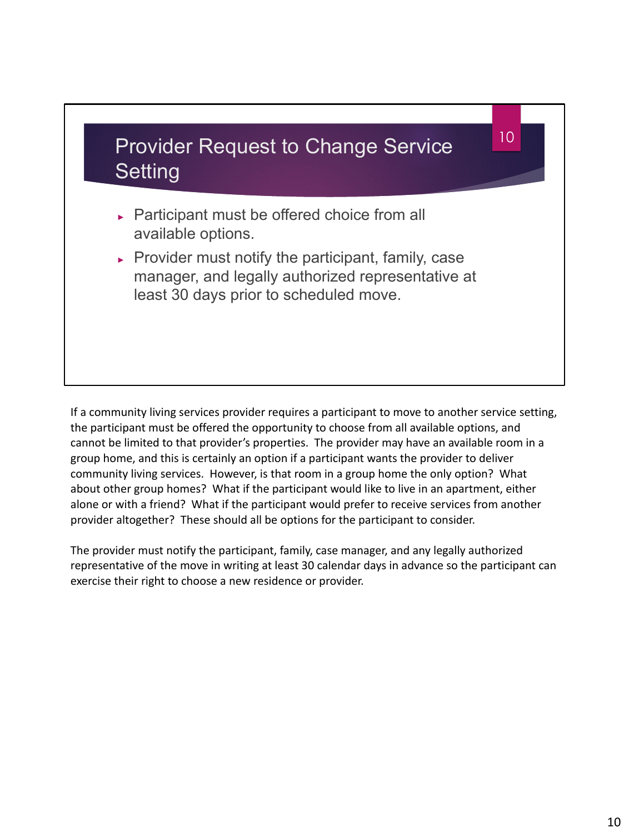

If a community living services provider requires a participant to move to another service setting, the participant must be offered the opportunity to choose from all available options, and cannot be limited to that provider's properties. The provider may have an available room in a group home, and this is certainly an option if a participant wants the provider to deliver community living services. However, is that room in a group home the only option? What about other group homes? What if the participant would like to live in an apartment, either alone or with a friend? What if the participant would prefer to receive services from another provider altogether? These should all be options for the participant to consider.

The provider must notify the participant, family, case manager, and any legally authorized representative of the move in writing at least 30 calendar days in advance so the participant can exercise their right to choose a new residence or provider.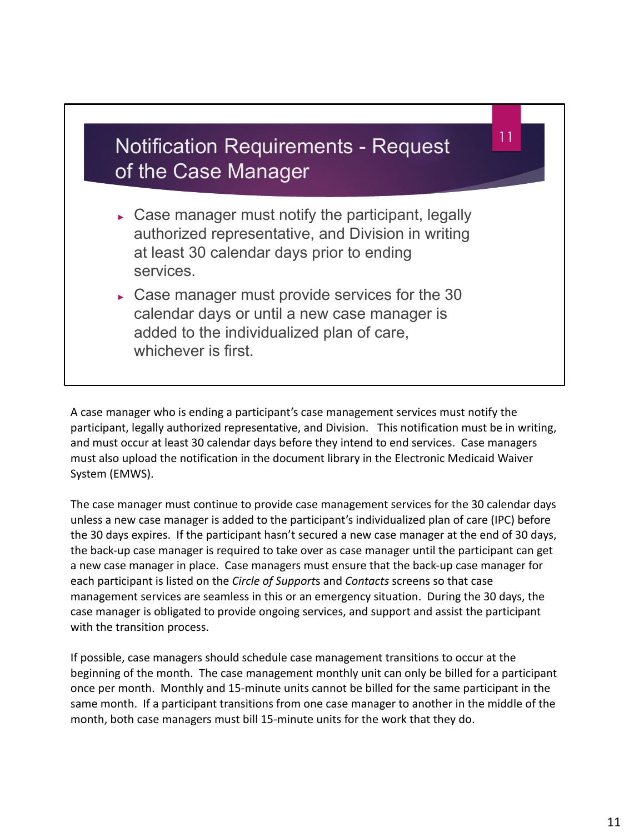## Notification Requirements - Request of the Case Manager

11

- $\triangleright$  Case manager must notify the participant, legally authorized representative, and Division in writing at least 30 calendar days prior to ending services.
- ► Case manager must provide services for the 30 calendar days or until a new case manager is added to the individualized plan of care, whichever is first.

A case manager who is ending a participant's case management services must notify the participant, legally authorized representative, and Division. This notification must be in writing, and must occur at least 30 calendar days before they intend to end services. Case managers must also upload the notification in the document library in the Electronic Medicaid Waiver System (EMWS).

The case manager must continue to provide case management services for the 30 calendar days unless a new case manager is added to the participant's individualized plan of care (IPC) before the 30 days expires. If the participant hasn't secured a new case manager at the end of 30 days, the back-up case manager is required to take over as case manager until the participant can get a new case manager in place. Case managers must ensure that the back-up case manager for each participant is listed on the *Circle of Support*s and *Contacts* screens so that case management services are seamless in this or an emergency situation. During the 30 days, the case manager is obligated to provide ongoing services, and support and assist the participant with the transition process.

If possible, case managers should schedule case management transitions to occur at the beginning of the month. The case management monthly unit can only be billed for a participant once per month. Monthly and 15-minute units cannot be billed for the same participant in the same month. If a participant transitions from one case manager to another in the middle of the month, both case managers must bill 15-minute units for the work that they do.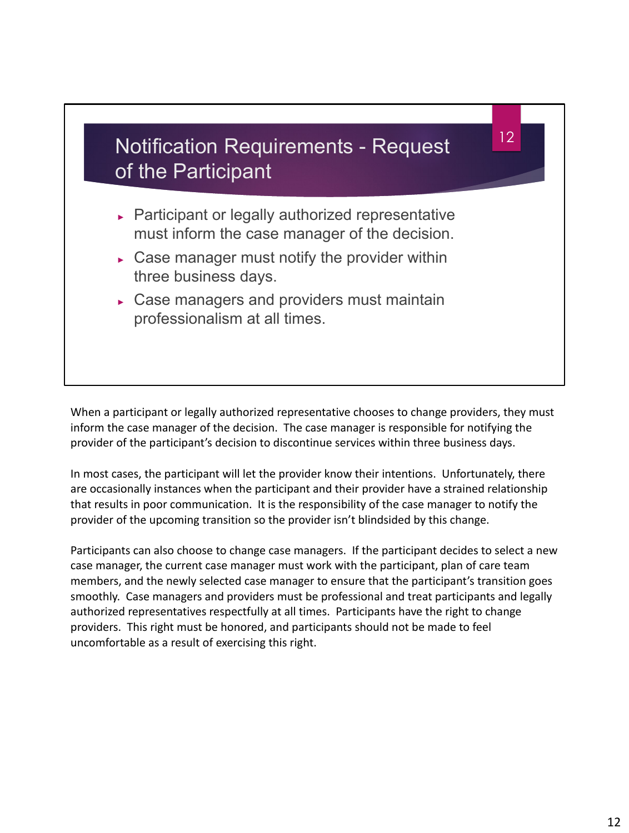

When a participant or legally authorized representative chooses to change providers, they must inform the case manager of the decision. The case manager is responsible for notifying the provider of the participant's decision to discontinue services within three business days.

In most cases, the participant will let the provider know their intentions. Unfortunately, there are occasionally instances when the participant and their provider have a strained relationship that results in poor communication. It is the responsibility of the case manager to notify the provider of the upcoming transition so the provider isn't blindsided by this change.

Participants can also choose to change case managers. If the participant decides to select a new case manager, the current case manager must work with the participant, plan of care team members, and the newly selected case manager to ensure that the participant's transition goes smoothly. Case managers and providers must be professional and treat participants and legally authorized representatives respectfully at all times. Participants have the right to change providers. This right must be honored, and participants should not be made to feel uncomfortable as a result of exercising this right.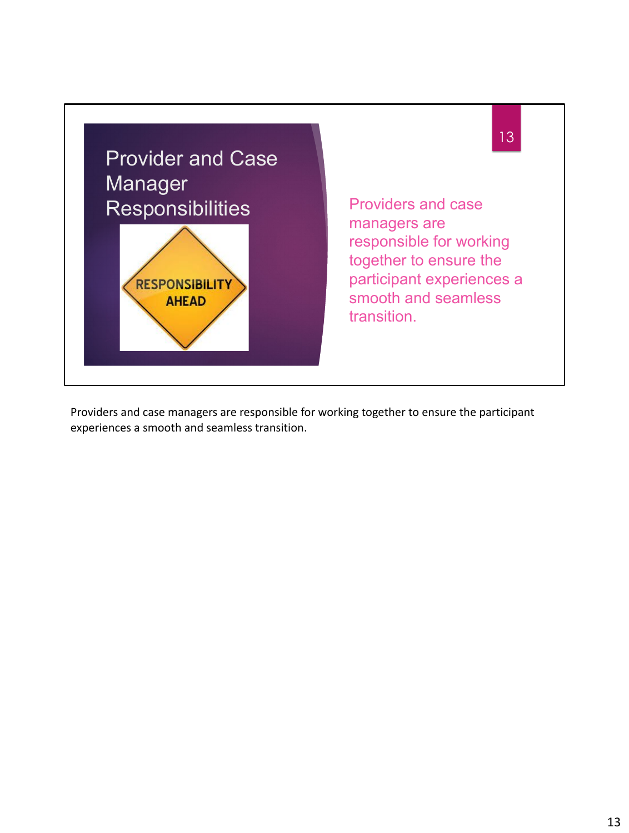

Providers and case managers are responsible for working together to ensure the participant experiences a smooth and seamless transition.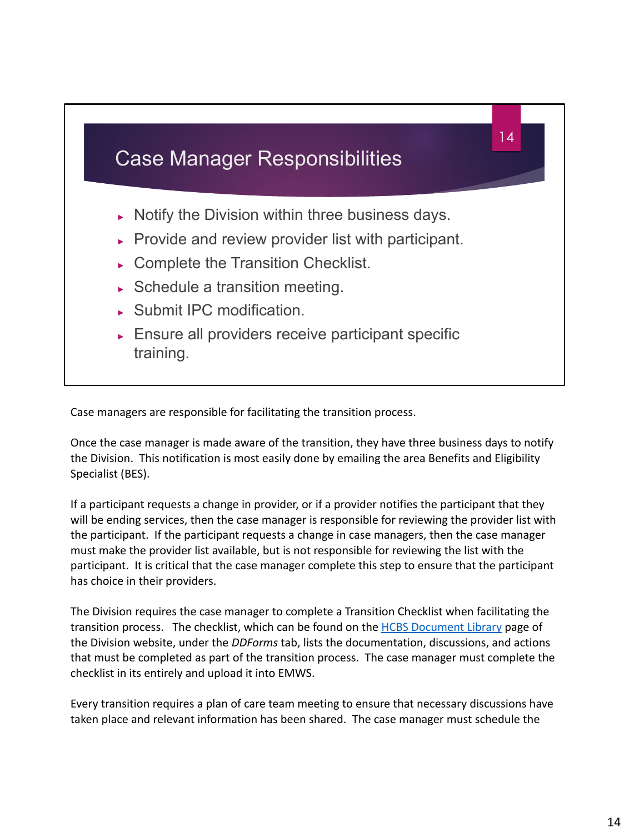

Case managers are responsible for facilitating the transition process.

Once the case manager is made aware of the transition, they have three business days to notify the Division. This notification is most easily done by emailing the area Benefits and Eligibility Specialist (BES).

If a participant requests a change in provider, or if a provider notifies the participant that they will be ending services, then the case manager is responsible for reviewing the provider list with the participant. If the participant requests a change in case managers, then the case manager must make the provider list available, but is not responsible for reviewing the list with the participant. It is critical that the case manager complete this step to ensure that the participant has choice in their providers.

The Division requires the case manager to complete a Transition Checklist when facilitating the transition process. The checklist, which can be found on the **HCBS** Document Library page of the Division website, under the *DDForms* tab, lists the documentation, discussions, and actions that must be completed as part of the transition process. The case manager must complete the checklist in its entirely and upload it into EMWS.

Every transition requires a plan of care team meeting to ensure that necessary discussions have taken place and relevant information has been shared. The case manager must schedule the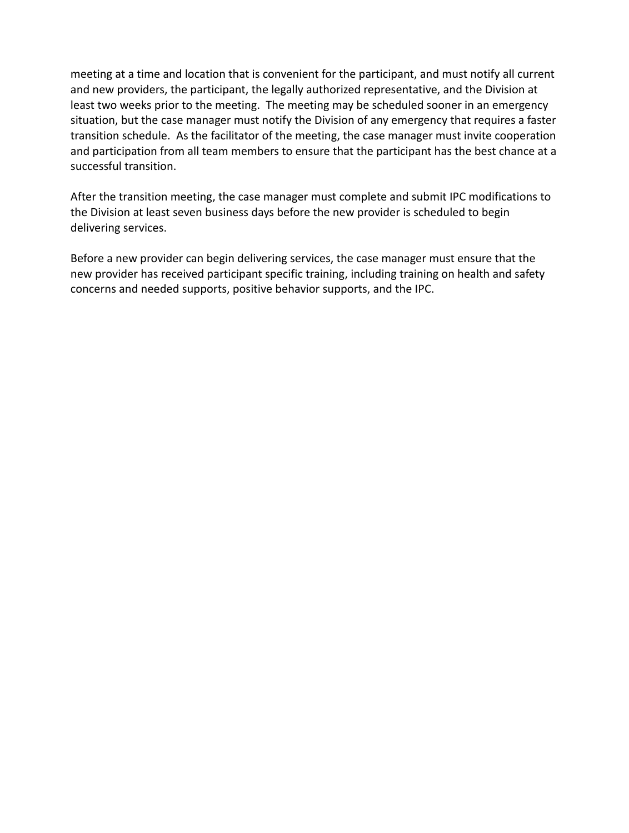meeting at a time and location that is convenient for the participant, and must notify all current and new providers, the participant, the legally authorized representative, and the Division at least two weeks prior to the meeting. The meeting may be scheduled sooner in an emergency situation, but the case manager must notify the Division of any emergency that requires a faster transition schedule. As the facilitator of the meeting, the case manager must invite cooperation and participation from all team members to ensure that the participant has the best chance at a successful transition.

After the transition meeting, the case manager must complete and submit IPC modifications to the Division at least seven business days before the new provider is scheduled to begin delivering services.

Before a new provider can begin delivering services, the case manager must ensure that the new provider has received participant specific training, including training on health and safety concerns and needed supports, positive behavior supports, and the IPC.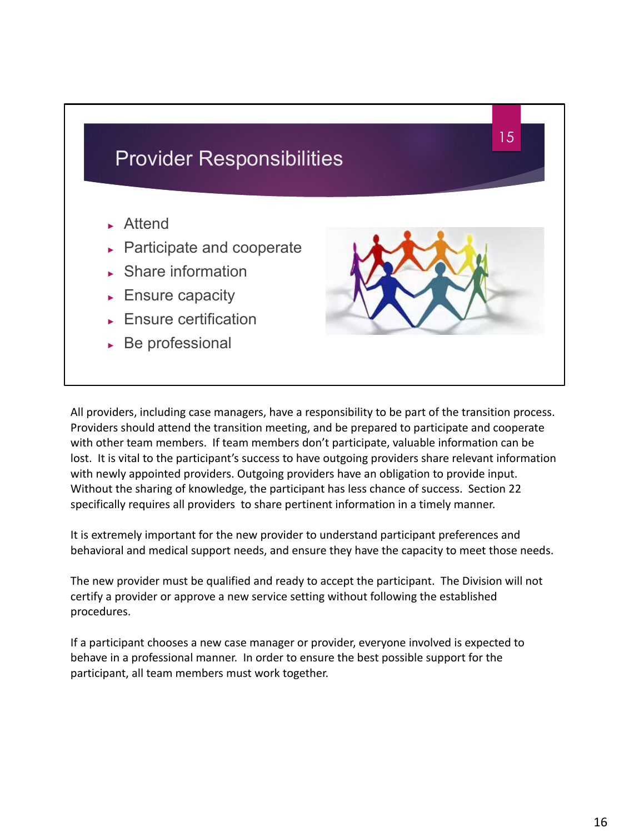

All providers, including case managers, have a responsibility to be part of the transition process. Providers should attend the transition meeting, and be prepared to participate and cooperate with other team members. If team members don't participate, valuable information can be lost. It is vital to the participant's success to have outgoing providers share relevant information with newly appointed providers. Outgoing providers have an obligation to provide input. Without the sharing of knowledge, the participant has less chance of success. Section 22 specifically requires all providers to share pertinent information in a timely manner.

It is extremely important for the new provider to understand participant preferences and behavioral and medical support needs, and ensure they have the capacity to meet those needs.

The new provider must be qualified and ready to accept the participant. The Division will not certify a provider or approve a new service setting without following the established procedures.

If a participant chooses a new case manager or provider, everyone involved is expected to behave in a professional manner. In order to ensure the best possible support for the participant, all team members must work together.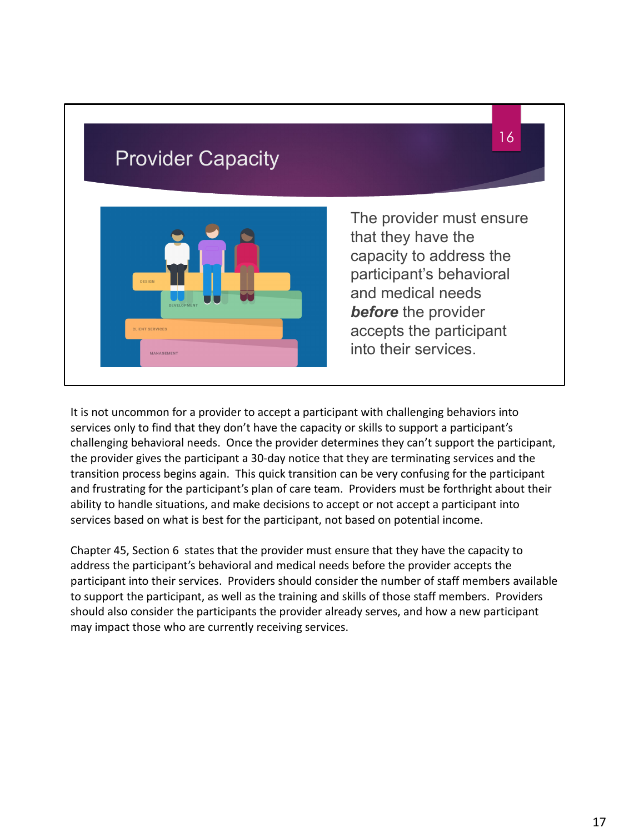

It is not uncommon for a provider to accept a participant with challenging behaviors into services only to find that they don't have the capacity or skills to support a participant's challenging behavioral needs. Once the provider determines they can't support the participant, the provider gives the participant a 30-day notice that they are terminating services and the transition process begins again. This quick transition can be very confusing for the participant and frustrating for the participant's plan of care team. Providers must be forthright about their ability to handle situations, and make decisions to accept or not accept a participant into services based on what is best for the participant, not based on potential income.

Chapter 45, Section 6 states that the provider must ensure that they have the capacity to address the participant's behavioral and medical needs before the provider accepts the participant into their services. Providers should consider the number of staff members available to support the participant, as well as the training and skills of those staff members. Providers should also consider the participants the provider already serves, and how a new participant may impact those who are currently receiving services.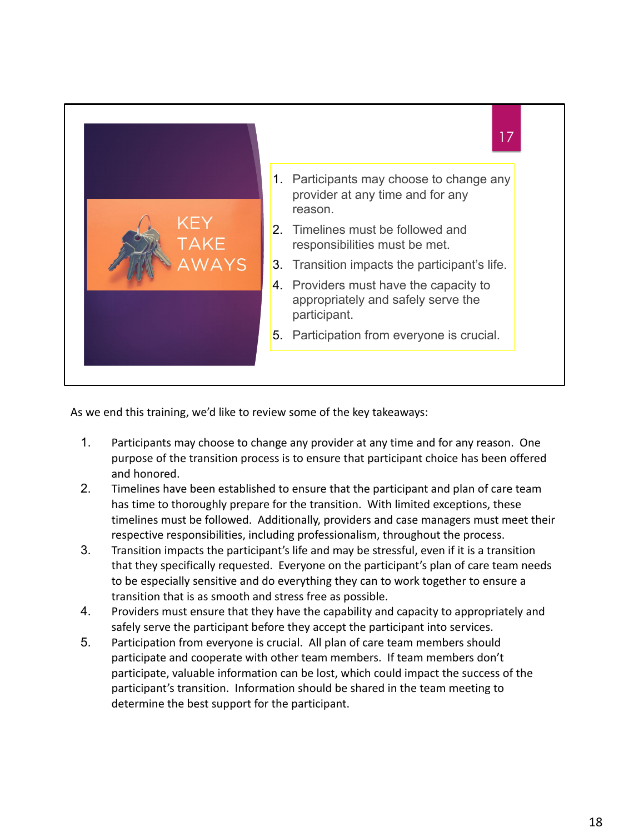

As we end this training, we'd like to review some of the key takeaways:

- 1. Participants may choose to change any provider at any time and for any reason. One purpose of the transition process is to ensure that participant choice has been offered and honored.
- 2. Timelines have been established to ensure that the participant and plan of care team has time to thoroughly prepare for the transition. With limited exceptions, these timelines must be followed. Additionally, providers and case managers must meet their respective responsibilities, including professionalism, throughout the process.
- 3. Transition impacts the participant's life and may be stressful, even if it is a transition that they specifically requested. Everyone on the participant's plan of care team needs to be especially sensitive and do everything they can to work together to ensure a transition that is as smooth and stress free as possible.
- 4. Providers must ensure that they have the capability and capacity to appropriately and safely serve the participant before they accept the participant into services.
- 5. Participation from everyone is crucial. All plan of care team members should participate and cooperate with other team members. If team members don't participate, valuable information can be lost, which could impact the success of the participant's transition. Information should be shared in the team meeting to determine the best support for the participant.